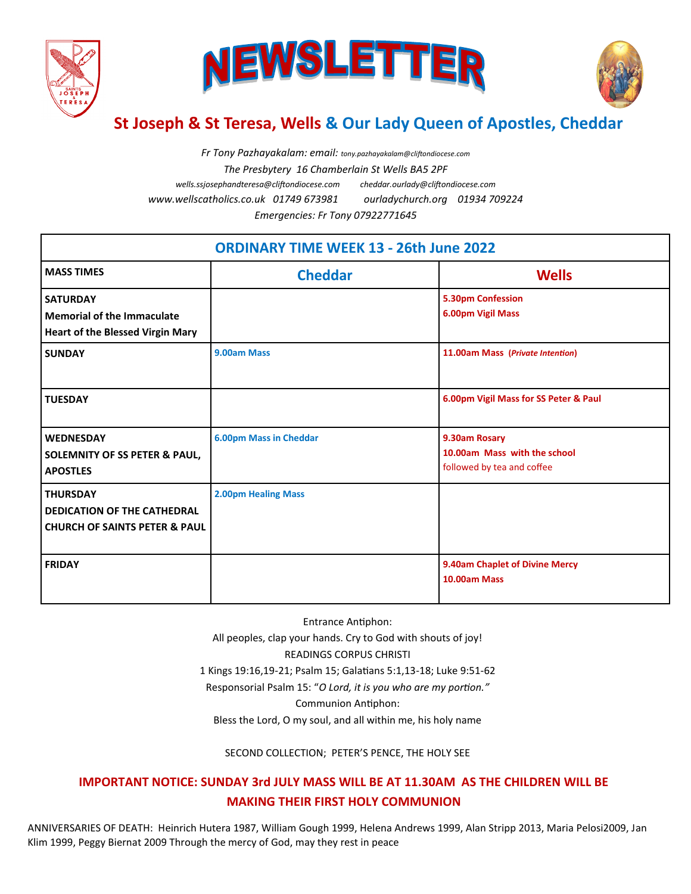





## **St Joseph & St Teresa, Wells & Our Lady Queen of Apostles, Cheddar**

*Fr Tony Pazhayakalam: email: tony.pazhayakalam@cliftondiocese.com The Presbytery 16 Chamberlain St Wells BA5 2PF wells.ssjosephandteresa@cliftondiocese.com cheddar.ourlady@cliftondiocese.com www.wellscatholics.co.uk 01749 673981 ourladychurch.org 01934 709224 Emergencies: Fr Tony 07922771645*

| <b>ORDINARY TIME WEEK 13 - 26th June 2022</b>                                                     |                               |                                                                             |
|---------------------------------------------------------------------------------------------------|-------------------------------|-----------------------------------------------------------------------------|
| <b>MASS TIMES</b>                                                                                 | <b>Cheddar</b>                | <b>Wells</b>                                                                |
| <b>SATURDAY</b><br>Memorial of the Immaculate<br><b>Heart of the Blessed Virgin Mary</b>          |                               | 5.30pm Confession<br>6.00pm Vigil Mass                                      |
| <b>SUNDAY</b>                                                                                     | 9.00am Mass                   | 11.00am Mass (Private Intention)                                            |
| <b>TUESDAY</b>                                                                                    |                               | 6.00pm Vigil Mass for SS Peter & Paul                                       |
| <b>WEDNESDAY</b><br><b>SOLEMNITY OF SS PETER &amp; PAUL,</b><br><b>APOSTLES</b>                   | <b>6.00pm Mass in Cheddar</b> | 9.30am Rosary<br>10.00am Mass with the school<br>followed by tea and coffee |
| <b>THURSDAY</b><br><b>DEDICATION OF THE CATHEDRAL</b><br><b>CHURCH OF SAINTS PETER &amp; PAUL</b> | <b>2.00pm Healing Mass</b>    |                                                                             |
| <b>FRIDAY</b>                                                                                     |                               | 9.40am Chaplet of Divine Mercy<br>10.00am Mass                              |

Entrance Antiphon: All peoples, clap your hands. Cry to God with shouts of joy! READINGS CORPUS CHRISTI 1 Kings 19:16,19-21; Psalm 15; Galatians 5:1,13-18; Luke 9:51-62 Responsorial Psalm 15: "*O Lord, it is you who are my portion."*  Communion Antiphon: Bless the Lord, O my soul, and all within me, his holy name

SECOND COLLECTION; PETER'S PENCE, THE HOLY SEE

## **IMPORTANT NOTICE: SUNDAY 3rd JULY MASS WILL BE AT 11.30AM AS THE CHILDREN WILL BE MAKING THEIR FIRST HOLY COMMUNION**

ANNIVERSARIES OF DEATH: Heinrich Hutera 1987, William Gough 1999, Helena Andrews 1999, Alan Stripp 2013, Maria Pelosi2009, Jan Klim 1999, Peggy Biernat 2009 Through the mercy of God, may they rest in peace